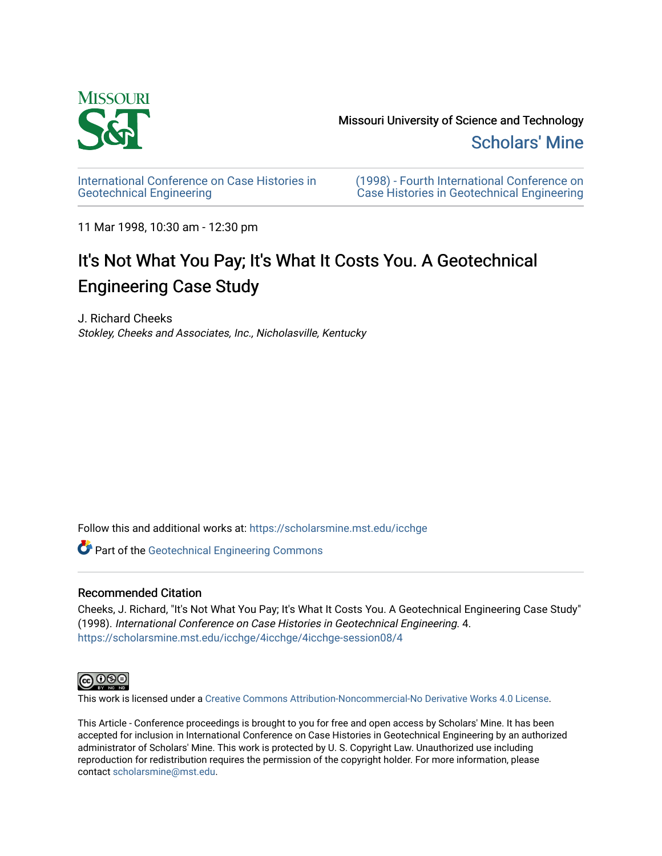

[International Conference on Case Histories in](https://scholarsmine.mst.edu/icchge)  [Geotechnical Engineering](https://scholarsmine.mst.edu/icchge)

[\(1998\) - Fourth International Conference on](https://scholarsmine.mst.edu/icchge/4icchge)  [Case Histories in Geotechnical Engineering](https://scholarsmine.mst.edu/icchge/4icchge) 

11 Mar 1998, 10:30 am - 12:30 pm

# It's Not What You Pay; It's What It Costs You. A Geotechnical Engineering Case Study

J. Richard Cheeks Stokley, Cheeks and Associates, Inc., Nicholasville, Kentucky

Follow this and additional works at: [https://scholarsmine.mst.edu/icchge](https://scholarsmine.mst.edu/icchge?utm_source=scholarsmine.mst.edu%2Ficchge%2F4icchge%2F4icchge-session08%2F4&utm_medium=PDF&utm_campaign=PDFCoverPages) 

**Part of the Geotechnical Engineering Commons** 

#### Recommended Citation

Cheeks, J. Richard, "It's Not What You Pay; It's What It Costs You. A Geotechnical Engineering Case Study" (1998). International Conference on Case Histories in Geotechnical Engineering. 4. [https://scholarsmine.mst.edu/icchge/4icchge/4icchge-session08/4](https://scholarsmine.mst.edu/icchge/4icchge/4icchge-session08/4?utm_source=scholarsmine.mst.edu%2Ficchge%2F4icchge%2F4icchge-session08%2F4&utm_medium=PDF&utm_campaign=PDFCoverPages) 



This work is licensed under a [Creative Commons Attribution-Noncommercial-No Derivative Works 4.0 License.](https://creativecommons.org/licenses/by-nc-nd/4.0/)

This Article - Conference proceedings is brought to you for free and open access by Scholars' Mine. It has been accepted for inclusion in International Conference on Case Histories in Geotechnical Engineering by an authorized administrator of Scholars' Mine. This work is protected by U. S. Copyright Law. Unauthorized use including reproduction for redistribution requires the permission of the copyright holder. For more information, please contact [scholarsmine@mst.edu](mailto:scholarsmine@mst.edu).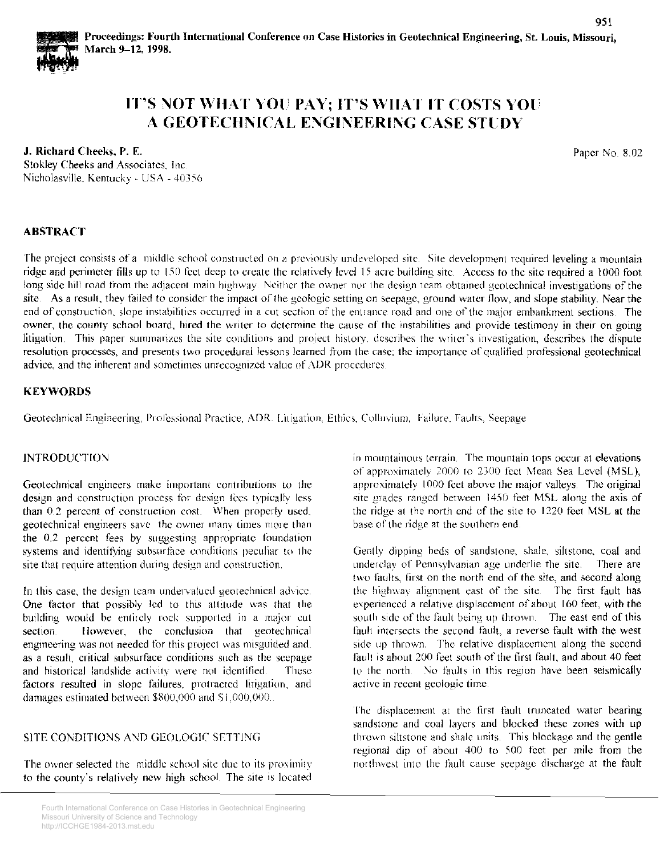

## IT'S NOT WHAT YOU PAY; IT'S WHAT IT COSTS YOU A GEOTECHNICAL ENGINEERING CASE STUDY

#### J. Richard Cheeks, P. E.

Stokley Cheeks and Associates. Inc Nicholasville, Kentucky - USA - 40356 Paper No. 8.02

### ABSTRACT

The project consists of a middle school constructed on a previously undeveloped site. Site development required leveling a mountain ridge and perimeter fills up to 150 feet deep to create the relatively level 15 acre building site. Access to the site required a 1000 foot long side hill road from the adjacent main highway. Neither the owner nor the design team obtained geotechnical investigations of the site. As a result, they failed to consider the impact of the geologic setting on seepage, ground water flow, and slope stability. Near the end of construction, slope mstabilities occurred in a cut section of the entrance road and one of the major embankment sections. The owner, the county school board, hired the writer to determine the cause of the instabilities and provide testimony in their on going litigation. This paper summarizes the site conditions and project history, describes the writer's investigation, describes the dispute resolution processes, and presents two procedural lessons learned from the case; the importance of qualified professional geotechnical advice, and the inherent and sometimes unrecognized value of ADR procedures.

#### **KEYWORDS**

Geotechnical Engineering, Professional Practice. ADR. Litigation, Ethics. Colluvium. Failure. Faults, Seepage

#### **INTRODUCTION**

Geotechnical engineers make important contributions to the design and construction process for design fees typically less than 0.2 percent of construction cost. When properly used, geotechnical engineers save the owner many times more than the  $0.2$  percent fees by suggesting appropriate foundation systems and identifying subsurface conditions peculiar to the site that require attention during design and construction.

In this case, the design team undervalued geotechnical advice. One factor that possibly led to this attitude was that the building would be entirely rock supported in a major cut section. However, the conclusion that geotechnical engineering was not needed for this project was misguided and. as a result, critical subsurface conditions such as the seepage and historical landslide activity were not identified. These factors resulted in slope failures, protracted litigation, and damages estimated between \$800,000 and \$1,000,000.

#### SITE CONDITIONS AND GEOLOGIC SETTING

The owner selected the  $~mid$  middle school site due to its proximity to the county's relatively new high school The site is located in mountainous terrain. The mountain tops occur at elevations of approximately 2000 to 2300 feet Mean Sea Level (MSL), approximately 1000 feet above the major valleys. The original site grades ranged between 1450 feet MSL along the axis of the ridge at the north end of the site to 1220 feet MSL at the base of the ridge at the southern end

Gently dipping beds of sandstone, shale, siltstone, coal and underclay of Pennsylvanian age underlie the site. There are two faults, first on the north end of the site, and second along the highway alignment east of the site. The first fault has experienced a relative displacement of about 160 feet, with the south side of the fault being up thrown. The east end of this fault intersects the second fault, a reverse fault with the west side up thrown. The relative displacement along the second fault is about 200 feet south of the first fault, and about 40 feet to the north. No faults in this region have been seismically active in recent geologic time.

The displacement at the first fault truncated water bearing sandstone and coal layers and blocked these zones with up thrown siltstone and shale units. This blockage and the gentle regional dip of about 400 to 500 feet per mile from the northwest into the fault cause seepage discharge at the fault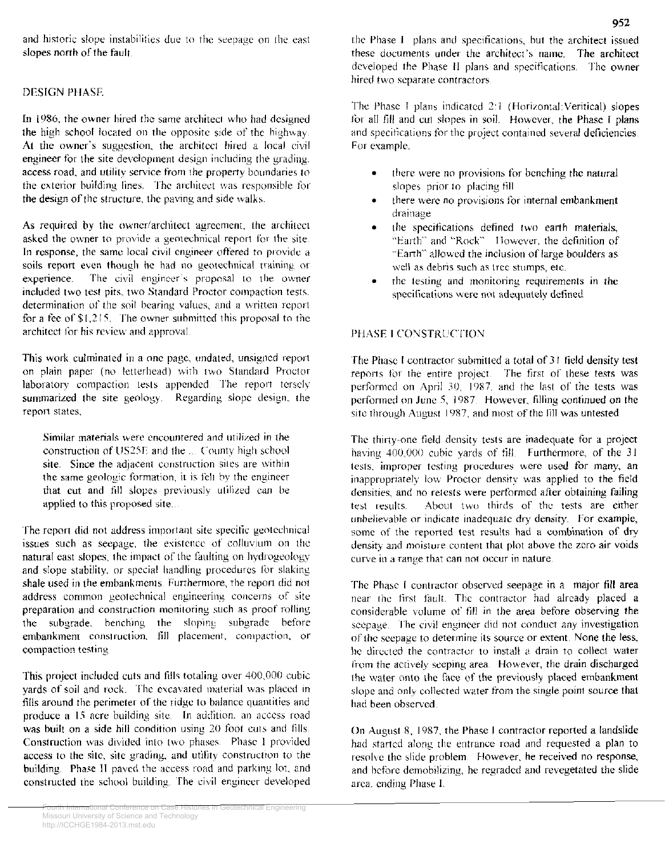and historic slope instabilities due to the seepage on the east slopes north of the fault

### DESIGN PHASF.

In 1986, the owner hired the same architect who had designed the high school located on the opposite side of the highway. At the owner's suggestion, the architect hired a local civil engineer for the site development design including the grading. access road, and utility service from the property boundaries to the exterior building lines. The architect was responsible for the design of the structure, the paving and side walks.

As required by the owner/architect agrecmem, the architect asked the owner to provide a geotechnical report for the site. In response, the same local civil engineer offered to provide a soils report even though he had no geotechnical training or experience. The civil engineer's proposal to the owner included two test pits, two Standard Proctor compaction tests. determination of the soil bearing values, and a written report for a fee of  $$1,215$ . The owner submitted this proposal to the architect for his review and approval.

This work culminated in a one page, undated, unsigned report on plain paper (no letterhead) with two Standard Proctor laboratory compaction tests appended. The report tersely summarized the site geology. Regarding slope design, the report states,

Similar materials were encountered and utilized in the construction of US25 $E$  and the  $\ldots$  County high school site. Since the adjacent construction sites are within the same geologic formation, it is felt by the engineer that cut and till slopes previously utilized can be applied to this proposed site...

The report did not address important site specific geotechnical issues such as seepage, the existence of colluvium on the natural east slopes, the impact of the faulting on hydrogeology and slope stability, or special handling procedures for slaking shale used in the embankments. Furthermore, the report did not address common geotechnical engineering concerns of site preparation and construction monitoring such as proof rolling the subgrade, benching the sloping subgrade before embankment construction, fill placement, compaction, or compaction testing

This project included cuts and fills totaling over 400,000 cubic yards of soil and rock. The excavated material was placed m fills around the perimeter of the ridge to balance quantities and produce a 15 acre building site. In addition, an access road was built on a side hill condition using 20 foot cuts and fills. Construction was divided into two phases Phase I provided access to the site, site grading, and utility construction to the building. Phase II paved the access road and parking lot, and constructed the school building\_ The civil engineer developed

the Phase I plans and specifications, hut the architect issued these documents under the architect's name. The architect developed the Phase II plans and specifications. The owner hired two separate contractors

The Phase I plans indicated  $2:1$  (Horizontal Veritical) slopes for all fill and cut slopes in soil. However, the Phase I plans and specifications for the project contained several deficiencies. For example,

- there were no provisions for benching the natural slopes prior to placing fill
- there were no provisions for internal embankment drainage
- the specifications defined two earth materials, "Earth" and "Rock" Ilowever, the definition of "Earth" allowed the inclusion of large boulders as well as debris such as tree stumps, etc.
- the testing and monitoring requirements in the specifications were not adequately defined

#### PHASE I CONSTRUCTION

The Phase I contractor submitted a total of 31 field density test reports for the entire project. The first of these tests was performed on April 30, 1987, and the last of the tests was performed on June 5, 1987. However, filling continued on the site through August 1987, and most of the fill was untested.

The thirty-one field density tests are inadequate for a project having 400,000 cubic yards of fill. Furthermore, of the 31 tests, improper testing procedures were used for many, an inappropriately low Proctor density was applied to the field densities, and no retests were performed after obtaining failing test results. About two thirds of the tests are either unbelievable or indicate inadequate dry density. For example, some of the reported test results had a combination of dry density and moislure content that plot above the zero air voids curve in a range that can not occur in nature

The Phase I contractor observed seepage in a major fill area near the first fault. The contractor had already placed a considerable volume of fill in the area before observing the scepage. The civil engineer did not conduct any investigation of the seepage to determine its source or extent None the less, he directed the contractor to install a drain to collect water from the actively seeping area. However, the drain discharged the water onto the face of the previously placed embankment slope and only collected water from the single point source that had been observed

On August 8, 1987, the Phase I contractor reported a landslide had started along the entrance road and requested a plan to resolve the slide problem. However, he received no response, and before demobilizing, he regraded and revegetated the slide area. ending Phase I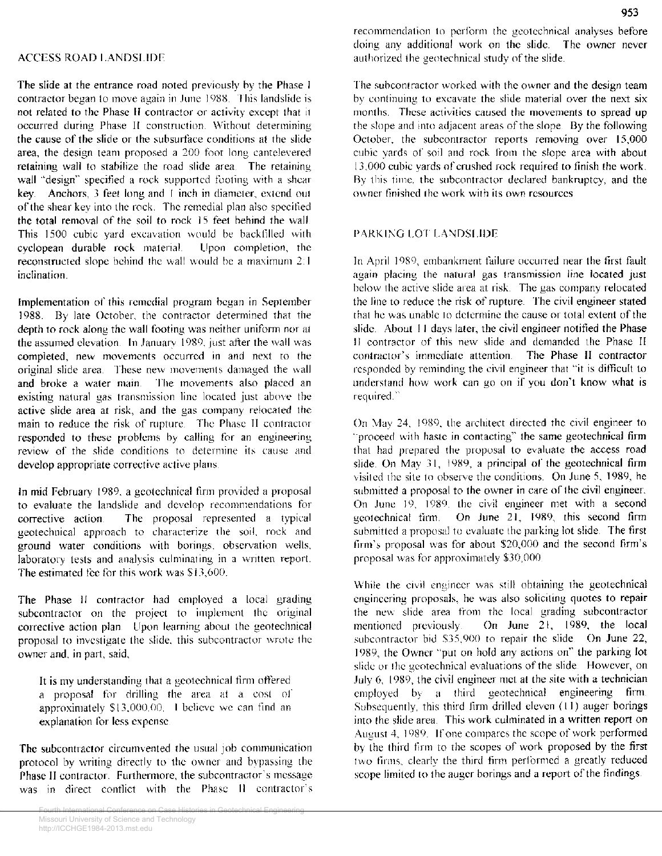The slide at the entrance road noted previously by the Phase I contractor began to move again in June 1988. This landslide is not related to the Phase II contractor or activity except that it occurred during Phase II construction. Without determining the cause of the slide or the subsurface conditions at the slide area, the design team proposed a 200 foot long cantelevered retaining wall to stabilize the road slide area. The retaining wall "design" specified a rock supported footing with a shear key. Anchors, 3 feet long and I inch in diameter, extend out of the shear key into the rock. The remedial plan also specified the total removal of the soil to rock 15 feet behind the wall. This 1500 cubic yard excavation would be backfilled with cyclopean durable rock material. Upon completion, the reconstructed slope behind the \\·all v,·ould be a maximum *2.*  inclination

Implementation of this remedial program hcgan in September 1988. By late October, the contractor determined that the depth to rock along the wall footing was neither uniform nor at the assumed elevation. In January 1989, just after the wall was completed, new movements occurred in and next ro the original slide area. These new movements damaged the wall and broke a water main. The movements also placed an existing natural gas transmission line located just above the active slide area at risk, and the gas company relocated the main to reduce the risk of rupture. The Phase II contractor responded to these problems by calling for an engineering review of the slide conditions to determine its cause and develop appropriate corrective active plans.

In mid February 1989, a geotechnical firm provided a proposal to evaluate the landslide and develop recommendations for corrective action The proposal represented a typical geotechnical approach to characterize the soil, rock and ground water conditions with borings, observation wells, laboratory tests and analysis culminating in a written report. The estimated fee for this work was \$13,600.

The Phase II contractor had employed a local grading subcontractor on the project to implement the original corrective action plan. Upon learning about the geotechnical proposal to investigate the slide, this subcontractor wrote the owner and, in part, said,

It is my understanding that a geotechnical firm offered a proposal for drilling the area at a cost of approximately  $$13,000,00$ . I believe we can find an explanation for less expense.

The subcontractor circumvented the usual job communication protocol by writing directly to the owner and bypassing the Phase II contractor. Furthermore, the subcontractor's message was in direct conflict with the Phase II contractor's recommendation to perform the geotechnical analyses before doing any additional work on the slide. The owner never authorized the geotechnical study of the slide

The subcontractor worked with the owner and the design team by continuing to excavate the slide material over the next six months. These activities caused the movements to spread up the slope and into adjacent areas of the slope. By the following October, the subcontractor reports removing over 15,000 cubic yards of soil and rock from the slope area with about 13,000 cubic yards of crushed rock required to finish the work. By this time, the subcontractor declared bankruptcy, and the owner finished the work with its own resources

#### PARKING LOT LANDSLIDE

In April 1989, embankment failure occurred near the first fault again placing the natural gas transmission line located just below the active slide area at risk. The gas company relocated the line to reduce the risk of rupture. The civil engineer stated that he was unable to determine the cause or total extent of the slide. About 11 days later, the civil engineer notified the Phase II contractor of this new slide and demanded the Phase II contractor's immediate attention. The Phase II contractor responded by reminding the civil engineer that "it is difficult to understand how work can go on if you don't know what is required."

On May 24, 1989, the architect directed the civil engineer to ··proceed \vith haste in contacting" the same geotechnical firm that had prepared the proposal to evaluate the access road slide. On May 31, 1989, a principal of the geotechnical firm visited the site to observe the conditions. On June 5, 1989, he submitted a proposal to the owner in care of the civil engineer. On June 19, 1989, the civil engineer met with a second geotechnical firm On June 21, 19&9, this second firm submitted a proposal to evaluate the parking lot slide. The first firm's proposal was for about \$20,000 and the second firm's proposal was for approximately  $$30,000$ .

While the civil engineer was still obtaining the geotechnical engineering proposals, he was also soliciting quotes to repair the new slide area from the local grading subcontractor mentioned previously On June 21, 1989, the local subcontractor bid \$35,900 to repair the slide. On June 22, 1989, the Owner "put on hold any actions on" the parking lot slide or the geotechnical evaluations of the slide. However, on July 6, 1989, the civil engineer met at the site with a technician employed by a third geotechnical engineering firm. Subsequently, this third firm drilled eleven (II) auger borings into the slide area. This work culminated in a written report on August 4, 1989. If one compares the scope of work performed by the third tirm to the scopes of work proposed by the first two firms. clearly the third firm performed a greatly reduced scope limited to the auger borings and a report of the findings.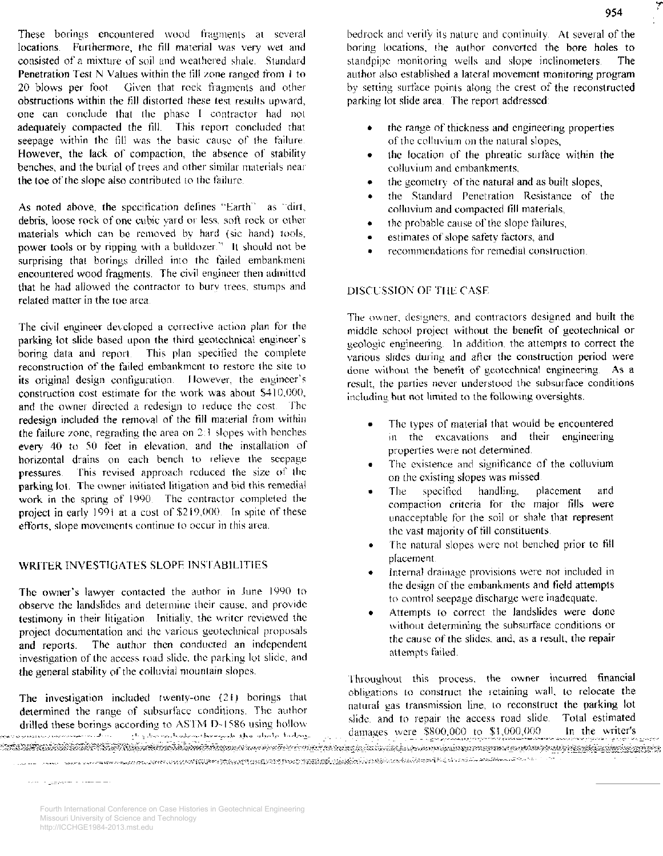These borings encountered wood fragments at several locations. Furthermore, the fill material was very wet and consisted of a mixture of soil and weathered shale. Standard Penetration Test N Values within the fill zone ranged from 1 to 20 blows per foot. Given that rock fragments and other obstructions within the fill distorted these test results upward, one can conclude that the phase I contractor had not adequately compacted the fill. This report concluded that seepage within the fill was the basic cause of the failure. However, the lack of compaction, the absence of stability benches, and the burial of trees and other similar materials near the toe of the slope also contributed to the failure.

As noted above, the specification defines "Earth" as "dirt, debris, loose rock of one cubic vard or less, soft rock or other materials which can be removed by hard (sic hand) tools, power tools or by ripping with a bulldozer." It should not be surprising that borings drilled into the failed embankment encountered wood fragments. The civil engineer then admitted that he had allowed the contractor to bury trees, stumps and related matter in the toe area

The civil engineer developed a corrective action plan for the parking lot slide based upon the third geotechnical engineer's boring data and report. This plan specified the complete reconstruction of the failed embankment to restore the site to its original design configuration. However, the engineer's construction cost estimate for the work was about \$410,000, and the owner directed a redesign to reduce the cost. The redesign included the removal of the fill material from within the failure zone, regrading the area on 2.1 slopes with benches every 40 to 50 feet in elevation, and the installation of horizontal drains on each bench to relieve the seepage pressures. This revised approach reduced the size of the parking lot. The owner initiated litigation and bid this remedial work in the spring of 1990. The contractor completed the project in early 1991 at a cost of \$219,000. In spite of these efforts, slope movements continue to occur in this area.

#### WRITER INVESTIGATES SLOPE INSTABILITIES

The owner's lawyer contacted the author in June 1990 to observe the landslides and determine their cause. and provide testimony in their litigation Initially, the writer rcvievved the project documentation and the various geotechnical proposals and reports. The author then conducted an independent investigation of the access road slide. the parking lot slide., and the general stability of the colluvial mountain slopes.

The investigation included twenty-one (21) borings that determined the range of subsurface conditions. The author drilled these borings according to ASTM D-1586 using hollow ... ويتماكننا الماضياء المعلوم والمتهادية والمستقبل المتعالم والمستقبل المستقبل المستقبل والمستقبل والمستقبل والمستقبل bedrock and verify its nature and continuity. At several of the boring locations, the author converted the bore holes to standpipe monitoring wells and slope inclinometers. The author also established a lateral movement monitoring program by setting surface points along the crest of the reconstructed parking lot slide area. The report addressed

- the range of thickness and engineering properties of the colluvium on the natural slopes,
- the location of the phreatic surface within the colluvium and embankments,
- the geometry of the natural and as built slopes,
- the Standard Penetration Resistance of the colluvium and compacted fill materials,
- the probable cause of the slope failures,
- estimates of slope safety factors, and
- recommendations for remedial construction.

#### DISCUSSION OF THE CASE

The owner, designers, and contractors designed and built the middle school project without the benefit of geotechnical or geologic engineering. In addition, the attempts to correct the various slides during and after the construction period were done without the benefit of geotechnical engineering. As a result, the parties never understood the subsurface conditions including but not limited to the following oversights.

- The types of material that would be encountered in the excavations and their engineering properties were not determined.
- The existence and significance of the colluvium on the existing slopes was missed
- The specified handling, placement and compaction criteria for the major fills were unacceptable for the soil or shale that represent the vast majority of till constituents
- The natural slopes were not benched prior to fill placement
- Internal drainage provisions were not included in the design of the embankments and field attempts to control seepage discharge were inadequate.
- Attempts to correct the landslides were done without determining the subsurface conditions or the cause of the slides, and, as a result, the repair attempts failed

Throughout this process. the owner incurred financial obligations to construct the retaining wall, to relocate the natural gas transmission line, to reconstruct the parking lot slide, and to repair the access road slide. Total estimated damages were  $$800,000$  to  $$1,000,000$  In the writer's

adaman dan satu dari dan kitab katalan atau taran satu dan dan dan dan dan masa masa masa yang taran dan katal 

المرامياتينية والمستهرئين والمدروة

Fourth International Conference on Case Histories in Geotechnical Engineering Missouri University of Science and Technology http://ICCHGE1984-2013.mst.edu

*7*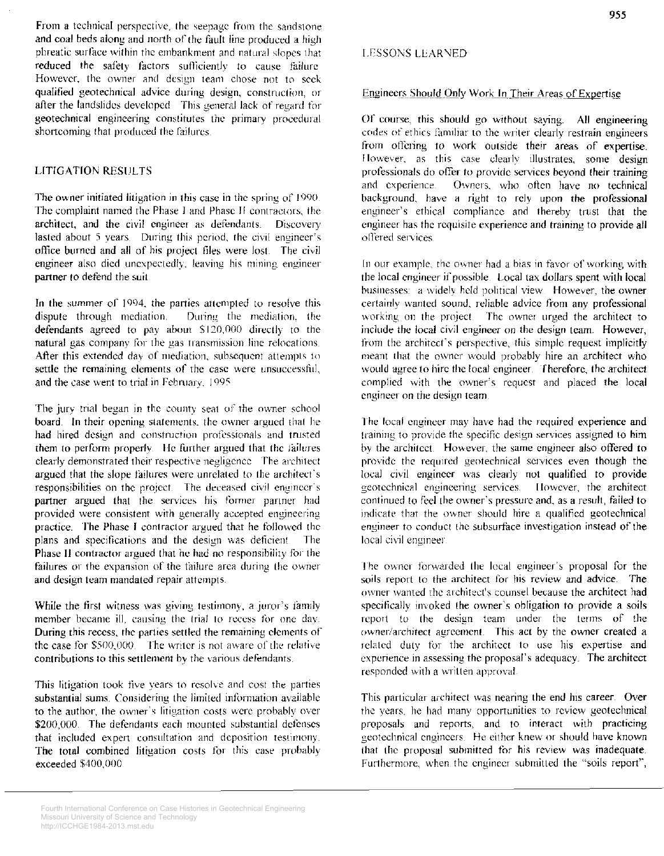From a technical perspective, the seepage from the sandstone and coal beds along and north of the fault line produced a high phreatic surface within the embankment and natural slopes that reduced the safety factors sufficiently to cause failure However, the owner and design team chose not to scek qualified geotechnical advice during design, construction, or afier the landslides developed This general lack of regard for geotechnical engineering constitutes the primary procedural shortcoming that produced the failures.

#### LITIGATION RES!ILTS

The owner initiated litigation in this case in the spring of 1990. The complaint named the Phase I and Phase II contractors, the architect, and the civil engineer as defendants. Discovery lasted about 5 years. During this period, the civil engineer's office burned and all of his project files were lost The civil engineer also died unexpectedly, leaving his mining engineer partner to defend the suit.

In the summer of 1994, the parties attempted to resolve this dispute through mediation. During the mediation, the During the mediation, the defendants agreed to pay about \$120,000 directly to the natural gas company for the gas transmission line relocations. After this extended day of mediation, subsequent attempts to settle the remaining elements of the case were unsuccessful, and the case went to trial in February. 1995.

The jury trial began in the county seat of the owner school board. In their opening statements, the owner argued that he had hired design and construction professionals and trusted them to perform properly. He further argued that the Jailures clearly demonstrated their respective negligence. The architect argued that the slope failures were unrelated to the architect's responsibilities on the project. The deceased civil engineer's partner argued that the services his former partner had provided were consistent with generally accepted engineering practice. The Phase I contractor argued that he followed the plans and specifications and the design was deficient. The Phase II contractor argued that he had no responsibility for the failures or the expansion of the failure area during the owner and design team mandated repair attempts

While the first witness was giving testimony, a juror's family member became ill, causing the trial to recess for one day. During this recess, the parties settled the remaining clements of the case for  $$500,000$ . The writer is not aware of the relative contributions to this settlement by the various defendants.

This litigation took five years to resolve and cost the parties substantial sums. Considering the limited information available to the author, the owner's litigation costs were probably over \$200,000. The defendants each mounted substantial defenses that included expert consultation and deposition testimony. The total combined litigation costs for this case probably exceeded \$400,000

#### Engineers Should Only Work In Their Areas of Expertise

Of course, this should go without saying. All engineering codes of ethics familiar to the writer clearly restrain engineers from offering to work outside their areas of expertise. However, as this case clearly illustrates, some design professionals do offer to provide services beyond their training and experience. Owners, who often have no technical background, have a right to rely upon the professional engineer's ethical compliance and thereby trust that the engineer has the requisite experience and training to provide all offered services.

In our example, the owner had a bias in favor of working with the local engineer if possible. Local tax dollars spent with local businesses: a widely held political view. However, the owner certainly wanted sound, reliable advice from any professional working on the project. The owner urged the architect to include the local civil engineer on the design team. However, from the architect's perspective, this simple request implicitly meant that the owner would probably hire an architect who would agree to hire the local engineer. Therefore, the architect complied with the owner's request and placed the local engineer on the design team

The local engineer may have had the required experience and training to provide the specific design services assigned to him by the architect. However, the same engineer also offered to provide the required geotechnical services even though the local civil engineer was clearly not qualified to provide geotechnical engineering services. However, the architect continued to feel the owner"s pressure and, as a result, failed to indicate that the owner should hire a qualified geotechnical engineer to conduct the subsurface investigation instead of the local civil engineer.

The owner forwarded the local engineer's proposal for the soils report to the architect for his review and advice. The owner wanted the architect's counsel because the architect had specifically invoked the owner's obligation *to* provide a soils report to the design team under the terms of the owner/architect agreement. This act by the owner created a related duty for the architect to use his expertise and cxpcnence in assessing the proposal's adequacy. The architect responded with a written approval.

This particular architect was nearing the end his career. Over the years, he had many opportunities to review geotechnical proposals and reports, and to interact with practicing geotechnical engineers. He either knew or should have known that the proposal submitted for his review was inadequate. Furthermore, when the engineer submitted the "soils report",

Fourth International Conference on Case Histories in Geotechnical Engineering Missouri University of Science and Technology http://ICCHGE1984-2013.mst.edu